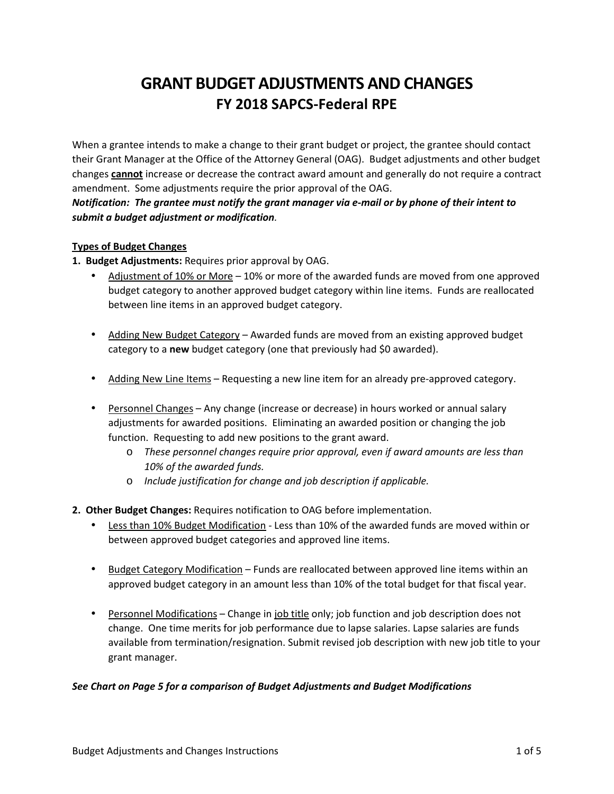# **GRANT BUDGET ADJUSTMENTS AND CHANGES FY 2018 SAPCS-Federal RPE**

When a grantee intends to make a change to their grant budget or project, the grantee should contact their Grant Manager at the Office of the Attorney General (OAG). Budget adjustments and other budget changes **cannot** increase or decrease the contract award amount and generally do not require a contract amendment. Some adjustments require the prior approval of the OAG.

*Notification: The grantee must notify the grant manager via e-mail or by phone of their intent to submit a budget adjustment or modification.* 

# **Types of Budget Changes**

**1. Budget Adjustments:** Requires prior approval by OAG.

- Adjustment of 10% or More 10% or more of the awarded funds are moved from one approved budget category to another approved budget category within line items. Funds are reallocated between line items in an approved budget category.
- Adding New Budget Category Awarded funds are moved from an existing approved budget category to a **new** budget category (one that previously had \$0 awarded).
- Adding New Line Items Requesting a new line item for an already pre-approved category.
- Personnel Changes Any change (increase or decrease) in hours worked or annual salary adjustments for awarded positions. Eliminating an awarded position or changing the job function. Requesting to add new positions to the grant award.
	- o *These personnel changes require prior approval, even if award amounts are less than 10% of the awarded funds.*
	- o *Include justification for change and job description if applicable.*
- **2. Other Budget Changes:** Requires notification to OAG before implementation.
	- Less than 10% Budget Modification Less than 10% of the awarded funds are moved within or between approved budget categories and approved line items.
	- Budget Category Modification Funds are reallocated between approved line items within an approved budget category in an amount less than 10% of the total budget for that fiscal year.
	- Personnel Modifications Change in job title only; job function and job description does not change. One time merits for job performance due to lapse salaries. Lapse salaries are funds available from termination/resignation. Submit revised job description with new job title to your grant manager.

#### *See Chart on Page 5 for a comparison of Budget Adjustments and Budget Modifications*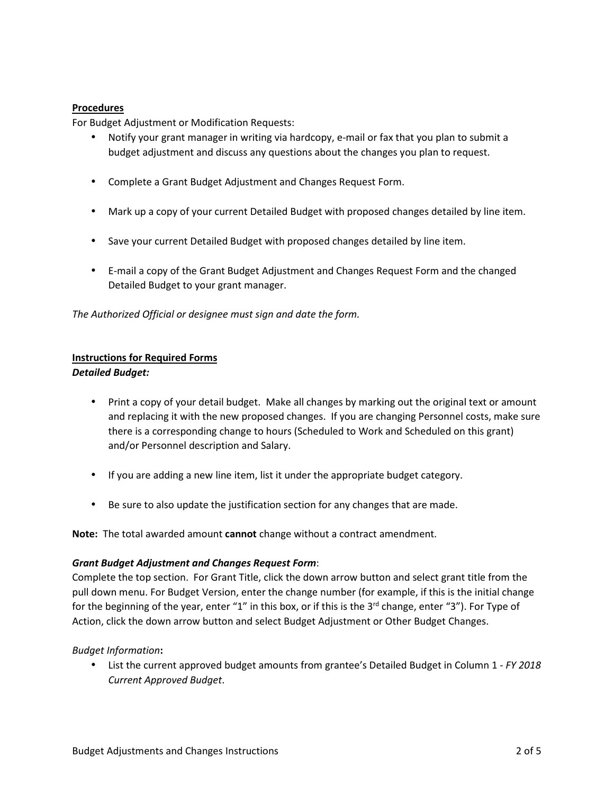### **Procedures**

For Budget Adjustment or Modification Requests:

- Notify your grant manager in writing via hardcopy, e-mail or fax that you plan to submit a budget adjustment and discuss any questions about the changes you plan to request.
- Complete a Grant Budget Adjustment and Changes Request Form.
- Mark up a copy of your current Detailed Budget with proposed changes detailed by line item.
- Save your current Detailed Budget with proposed changes detailed by line item.
- E-mail a copy of the Grant Budget Adjustment and Changes Request Form and the changed Detailed Budget to your grant manager.

*The Authorized Official or designee must sign and date the form.* 

#### **Instructions for Required Forms**  *Detailed Budget:*

- Print a copy of your detail budget. Make all changes by marking out the original text or amount and replacing it with the new proposed changes. If you are changing Personnel costs, make sure there is a corresponding change to hours (Scheduled to Work and Scheduled on this grant) and/or Personnel description and Salary.
- If you are adding a new line item, list it under the appropriate budget category.
- Be sure to also update the justification section for any changes that are made.

**Note:** The total awarded amount **cannot** change without a contract amendment.

#### *Grant Budget Adjustment and Changes Request Form*:

Complete the top section. For Grant Title, click the down arrow button and select grant title from the pull down menu. For Budget Version, enter the change number (for example, if this is the initial change for the beginning of the year, enter "1" in this box, or if this is the 3<sup>rd</sup> change, enter "3"). For Type of Action, click the down arrow button and select Budget Adjustment or Other Budget Changes.

#### *Budget Information***:**

• List the current approved budget amounts from grantee's Detailed Budget in Column 1 - *FY 2018 Current Approved Budget*.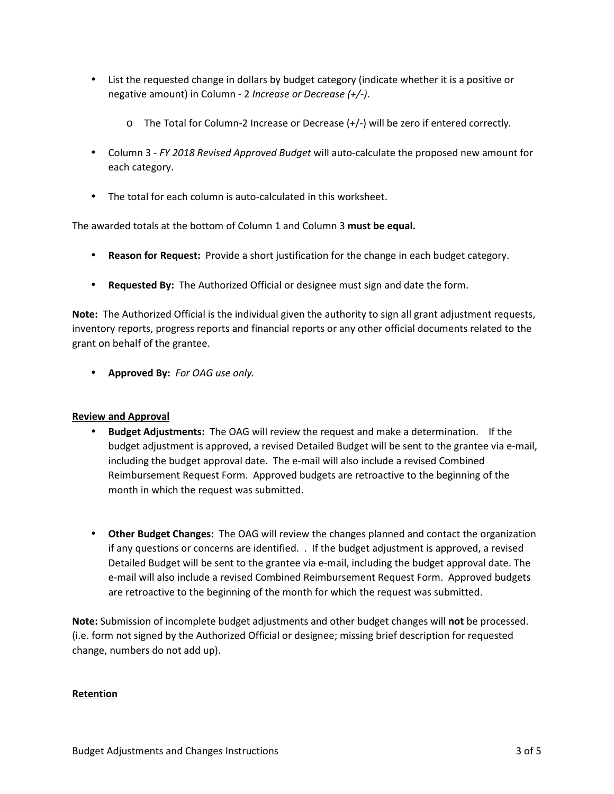- List the requested change in dollars by budget category (indicate whether it is a positive or negative amount) in Column - 2 *Increase or Decrease (+/-)*.
	- o The Total for Column-2 Increase or Decrease (+/-) will be zero if entered correctly.
- Column 3 *FY 2018 Revised Approved Budget* will auto-calculate the proposed new amount for each category.
- The total for each column is auto-calculated in this worksheet.

The awarded totals at the bottom of Column 1 and Column 3 **must be equal.** 

- **Reason for Request:** Provide a short justification for the change in each budget category.
- **Requested By:** The Authorized Official or designee must sign and date the form.

**Note:** The Authorized Official is the individual given the authority to sign all grant adjustment requests, inventory reports, progress reports and financial reports or any other official documents related to the grant on behalf of the grantee.

• **Approved By:** *For OAG use only.*

#### **Review and Approval**

- **Budget Adjustments:** The OAG will review the request and make a determination. If the budget adjustment is approved, a revised Detailed Budget will be sent to the grantee via e-mail, including the budget approval date. The e-mail will also include a revised Combined Reimbursement Request Form. Approved budgets are retroactive to the beginning of the month in which the request was submitted.
- **Other Budget Changes:** The OAG will review the changes planned and contact the organization if any questions or concerns are identified. . If the budget adjustment is approved, a revised Detailed Budget will be sent to the grantee via e-mail, including the budget approval date. The e-mail will also include a revised Combined Reimbursement Request Form. Approved budgets are retroactive to the beginning of the month for which the request was submitted.

**Note:** Submission of incomplete budget adjustments and other budget changes will **not** be processed. (i.e. form not signed by the Authorized Official or designee; missing brief description for requested change, numbers do not add up).

#### **Retention**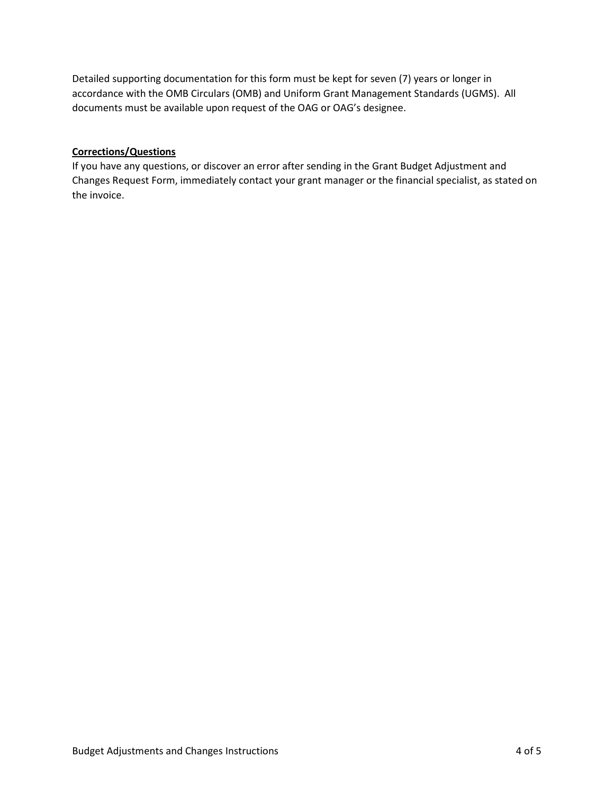Detailed supporting documentation for this form must be kept for seven (7) years or longer in accordance with the OMB Circulars (OMB) and Uniform Grant Management Standards (UGMS). All documents must be available upon request of the OAG or OAG's designee.

## **Corrections/Questions**

If you have any questions, or discover an error after sending in the Grant Budget Adjustment and Changes Request Form, immediately contact your grant manager or the financial specialist, as stated on the invoice.